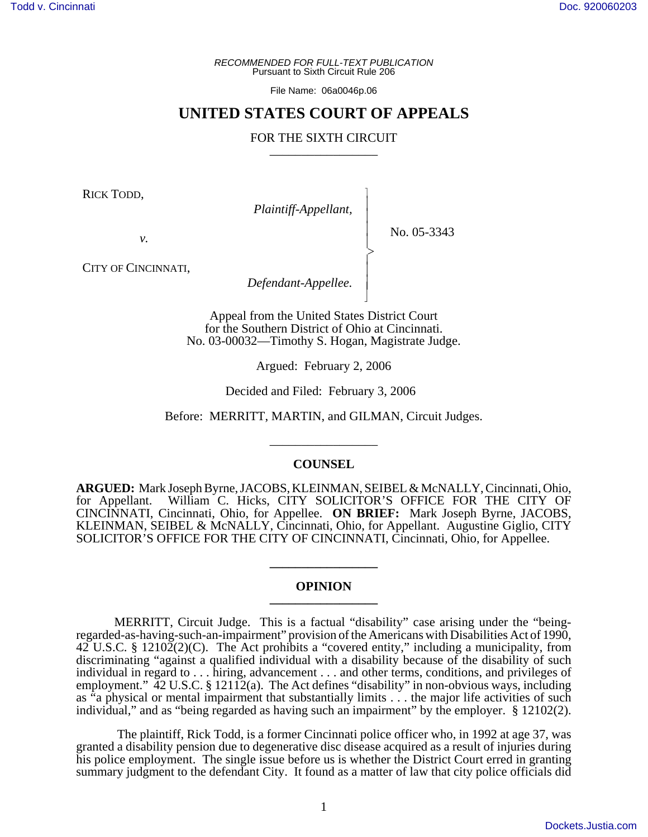*RECOMMENDED FOR FULL-TEXT PUBLICATION* Pursuant to Sixth Circuit Rule 206

File Name: 06a0046p.06

## **UNITED STATES COURT OF APPEALS**

## FOR THE SIXTH CIRCUIT

 $\overline{\phantom{a}}$ - - - -  $\succ$ |<br>|<br>| - - N

RICK TODD,

*Plaintiff-Appellant,*

No. 05-3343

*v.*

CITY OF CINCINNATI,

*Defendant-Appellee.*

Appeal from the United States District Court for the Southern District of Ohio at Cincinnati. No. 03-00032—Timothy S. Hogan, Magistrate Judge.

Argued: February 2, 2006

Decided and Filed: February 3, 2006

Before: MERRITT, MARTIN, and GILMAN, Circuit Judges.

## **COUNSEL**

\_\_\_\_\_\_\_\_\_\_\_\_\_\_\_\_\_

**ARGUED:** Mark Joseph Byrne, JACOBS, KLEINMAN, SEIBEL & McNALLY, Cincinnati, Ohio, for Appellant. William C. Hicks, CITY SOLICITOR'S OFFICE FOR THE CITY OF CINCINNATI, Cincinnati, Ohio, for Appellee. **ON BRIEF:** Mark Joseph Byrne, JACOBS, KLEINMAN, SEIBEL & McNALLY, Cincinnati, Ohio, for Appellant. Augustine Giglio, CITY SOLICITOR'S OFFICE FOR THE CITY OF CINCINNATI, Cincinnati, Ohio, for Appellee.

## **OPINION \_\_\_\_\_\_\_\_\_\_\_\_\_\_\_\_\_**

**\_\_\_\_\_\_\_\_\_\_\_\_\_\_\_\_\_**

MERRITT, Circuit Judge. This is a factual "disability" case arising under the "beingregarded-as-having-such-an-impairment" provision of the Americans with Disabilities Act of 1990,  $42^{\degree}$  U.S.C. § 12102(2)(C). The Act prohibits a "covered entity," including a municipality, from discriminating "against a qualified individual with a disability because of the disability of such individual in regard to . . . hiring, advancement . . . and other terms, conditions, and privileges of employment."  $\overline{42}$  U.S.C. § 12112(a). The Act defines "disability" in non-obvious ways, including as "a physical or mental impairment that substantially limits . . . the major life activities of such individual," and as "being regarded as having such an impairment" by the employer. § 12102(2).

 The plaintiff, Rick Todd, is a former Cincinnati police officer who, in 1992 at age 37, was granted a disability pension due to degenerative disc disease acquired as a result of injuries during his police employment. The single issue before us is whether the District Court erred in granting summary judgment to the defendant City. It found as a matter of law that city police officials did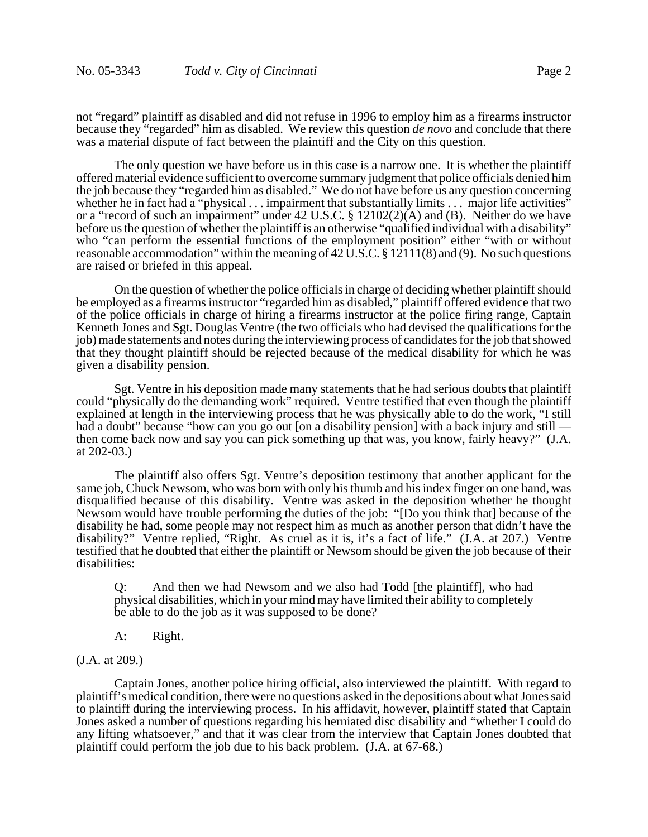not "regard" plaintiff as disabled and did not refuse in 1996 to employ him as a firearms instructor because they "regarded" him as disabled. We review this question *de novo* and conclude that there was a material dispute of fact between the plaintiff and the City on this question.

The only question we have before us in this case is a narrow one. It is whether the plaintiff offered material evidence sufficient to overcome summary judgment that police officials denied him the job because they "regarded him as disabled." We do not have before us any question concerning whether he in fact had a "physical . . . impairment that substantially limits . . . major life activities" or a "record of such an impairment" under 42 U.S.C. § 12102(2)(A) and (B). Neither do we have before us the question of whether the plaintiff is an otherwise "qualified individual with a disability" who "can perform the essential functions of the employment position" either "with or without reasonable accommodation" within the meaning of  $42 \text{ U.S.C.}$  §  $12111(8)$  and (9). No such questions are raised or briefed in this appeal.

On the question of whether the police officials in charge of deciding whether plaintiff should be employed as a firearms instructor "regarded him as disabled," plaintiff offered evidence that two of the police officials in charge of hiring a firearms instructor at the police firing range, Captain Kenneth Jones and Sgt. Douglas Ventre (the two officials who had devised the qualifications for the job) made statements and notes during the interviewing process of candidates for the job that showed that they thought plaintiff should be rejected because of the medical disability for which he was given a disability pension.

Sgt. Ventre in his deposition made many statements that he had serious doubts that plaintiff could "physically do the demanding work" required. Ventre testified that even though the plaintiff explained at length in the interviewing process that he was physically able to do the work, "I still had a doubt" because "how can you go out [on a disability pension] with a back injury and still then come back now and say you can pick something up that was, you know, fairly heavy?" (J.A. at 202-03.)

The plaintiff also offers Sgt. Ventre's deposition testimony that another applicant for the same job, Chuck Newsom, who was born with only his thumb and his index finger on one hand, was disqualified because of this disability. Ventre was asked in the deposition whether he thought Newsom would have trouble performing the duties of the job: "[Do you think that] because of the disability he had, some people may not respect him as much as another person that didn't have the disability?" Ventre replied, "Right. As cruel as it is, it's a fact of life." (J.A. at 207.) Ventre testified that he doubted that either the plaintiff or Newsom should be given the job because of their disabilities:

Q: And then we had Newsom and we also had Todd [the plaintiff], who had physical disabilities, which in your mind may have limited their ability to completely be able to do the job as it was supposed to be done?

- A: Right.
- (J.A. at 209.)

Captain Jones, another police hiring official, also interviewed the plaintiff. With regard to plaintiff's medical condition, there were no questions asked in the depositions about what Jones said to plaintiff during the interviewing process. In his affidavit, however, plaintiff stated that Captain Jones asked a number of questions regarding his herniated disc disability and "whether I could do any lifting whatsoever," and that it was clear from the interview that Captain Jones doubted that plaintiff could perform the job due to his back problem. (J.A. at 67-68.)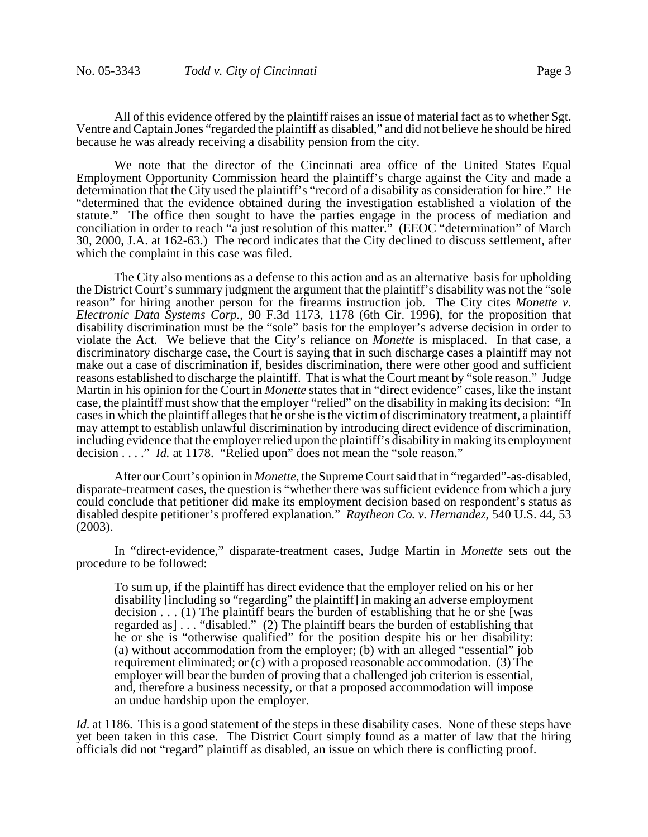All of this evidence offered by the plaintiff raises an issue of material fact as to whether Sgt. Ventre and Captain Jones "regarded the plaintiff as disabled," and did not believe he should be hired because he was already receiving a disability pension from the city.

We note that the director of the Cincinnati area office of the United States Equal Employment Opportunity Commission heard the plaintiff's charge against the City and made a determination that the City used the plaintiff's "record of a disability as consideration for hire." He "determined that the evidence obtained during the investigation established a violation of the statute." The office then sought to have the parties engage in the process of mediation and conciliation in order to reach "a just resolution of this matter." (EEOC "determination" of March 30, 2000, J.A. at 162-63.) The record indicates that the City declined to discuss settlement, after which the complaint in this case was filed.

The City also mentions as a defense to this action and as an alternative basis for upholding the District Court's summary judgment the argument that the plaintiff's disability was not the "sole reason" for hiring another person for the firearms instruction job. The City cites *Monette v. Electronic Data Systems Corp.*, 90 F.3d 1173, 1178 (6th Cir. 1996), for the proposition that disability discrimination must be the "sole" basis for the employer's adverse decision in order to violate the Act. We believe that the City's reliance on *Monette* is misplaced. In that case, a discriminatory discharge case, the Court is saying that in such discharge cases a plaintiff may not make out a case of discrimination if, besides discrimination, there were other good and sufficient reasons established to discharge the plaintiff. That is what the Court meant by "sole reason." Judge Martin in his opinion for the Court in *Monette* states that in "direct evidence" cases, like the instant case, the plaintiff must show that the employer "relied" on the disability in making its decision: "In cases in which the plaintiff alleges that he or she is the victim of discriminatory treatment, a plaintiff may attempt to establish unlawful discrimination by introducing direct evidence of discrimination, including evidence that the employer relied upon the plaintiff's disability in making its employment decision . . . " *Id.* at 1178. "Relied upon" does not mean the "sole reason."

After our Court's opinion in *Monette*, the Supreme Court said that in "regarded"-as-disabled, disparate-treatment cases, the question is "whether there was sufficient evidence from which a jury could conclude that petitioner did make its employment decision based on respondent's status as disabled despite petitioner's proffered explanation." *Raytheon Co. v. Hernandez*, 540 U.S. 44, 53 (2003).

In "direct-evidence," disparate-treatment cases, Judge Martin in *Monette* sets out the procedure to be followed:

To sum up, if the plaintiff has direct evidence that the employer relied on his or her disability [including so "regarding" the plaintiff] in making an adverse employment decision  $\dots$  (1) The plaintiff bears the burden of establishing that he or she [was regarded as] . . . "disabled." (2) The plaintiff bears the burden of establishing that he or she is "otherwise qualified" for the position despite his or her disability: (a) without accommodation from the employer; (b) with an alleged "essential" job requirement eliminated; or (c) with a proposed reasonable accommodation. (3) The employer will bear the burden of proving that a challenged job criterion is essential, and, therefore a business necessity, or that a proposed accommodation will impose an undue hardship upon the employer.

*Id.* at 1186. This is a good statement of the steps in these disability cases. None of these steps have yet been taken in this case. The District Court simply found as a matter of law that the hiring officials did not "regard" plaintiff as disabled, an issue on which there is conflicting proof.